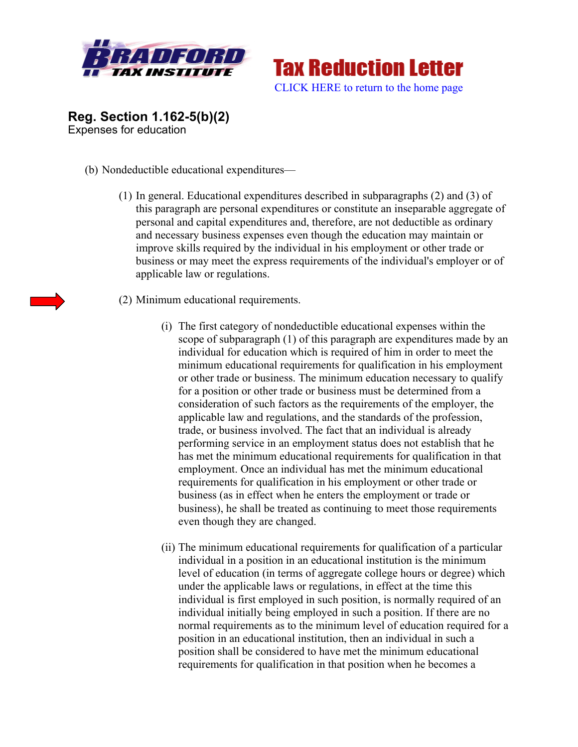



**Reg. Section 1.162-5(b)(2)**  Expenses for education

- (b) Nondeductible educational expenditures—
	- (1) In general. Educational expenditures described in subparagraphs (2) and (3) of this paragraph are personal expenditures or constitute an inseparable aggregate of personal and capital expenditures and, therefore, are not deductible as ordinary and necessary business expenses even though the education may maintain or improve skills required by the individual in his employment or other trade or business or may meet the express requirements of the individual's employer or of applicable law or regulations.
	- (2) Minimum educational requirements.
		- (i) The first category of nondeductible educational expenses within the scope of subparagraph (1) of this paragraph are expenditures made by an individual for education which is required of him in order to meet the minimum educational requirements for qualification in his employment or other trade or business. The minimum education necessary to qualify for a position or other trade or business must be determined from a consideration of such factors as the requirements of the employer, the applicable law and regulations, and the standards of the profession, trade, or business involved. The fact that an individual is already performing service in an employment status does not establish that he has met the minimum educational requirements for qualification in that employment. Once an individual has met the minimum educational requirements for qualification in his employment or other trade or business (as in effect when he enters the employment or trade or business), he shall be treated as continuing to meet those requirements even though they are changed.
		- (ii) The minimum educational requirements for qualification of a particular individual in a position in an educational institution is the minimum level of education (in terms of aggregate college hours or degree) which under the applicable laws or regulations, in effect at the time this individual is first employed in such position, is normally required of an individual initially being employed in such a position. If there are no normal requirements as to the minimum level of education required for a position in an educational institution, then an individual in such a position shall be considered to have met the minimum educational requirements for qualification in that position when he becomes a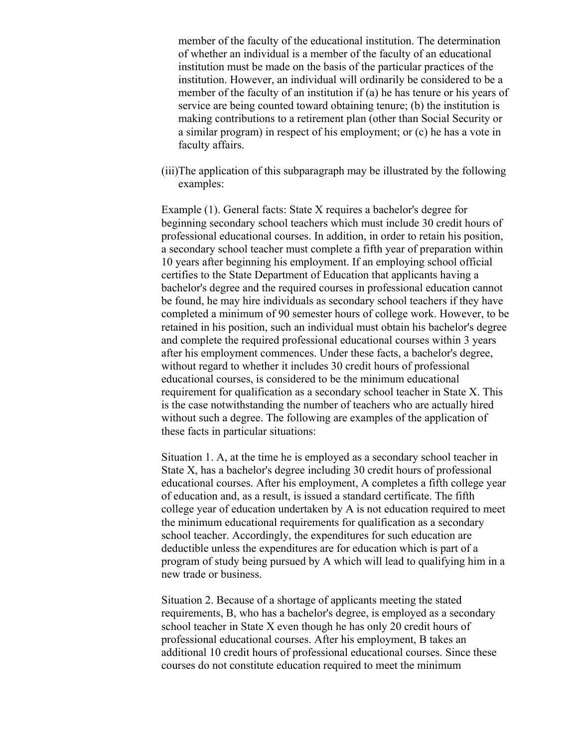member of the faculty of the educational institution. The determination of whether an individual is a member of the faculty of an educational institution must be made on the basis of the particular practices of the institution. However, an individual will ordinarily be considered to be a member of the faculty of an institution if (a) he has tenure or his years of service are being counted toward obtaining tenure; (b) the institution is making contributions to a retirement plan (other than Social Security or a similar program) in respect of his employment; or (c) he has a vote in faculty affairs.

(iii)The application of this subparagraph may be illustrated by the following examples:

Example (1). General facts: State X requires a bachelor's degree for beginning secondary school teachers which must include 30 credit hours of professional educational courses. In addition, in order to retain his position, a secondary school teacher must complete a fifth year of preparation within 10 years after beginning his employment. If an employing school official certifies to the State Department of Education that applicants having a bachelor's degree and the required courses in professional education cannot be found, he may hire individuals as secondary school teachers if they have completed a minimum of 90 semester hours of college work. However, to be retained in his position, such an individual must obtain his bachelor's degree and complete the required professional educational courses within 3 years after his employment commences. Under these facts, a bachelor's degree, without regard to whether it includes 30 credit hours of professional educational courses, is considered to be the minimum educational requirement for qualification as a secondary school teacher in State X. This is the case notwithstanding the number of teachers who are actually hired without such a degree. The following are examples of the application of these facts in particular situations:

Situation 1. A, at the time he is employed as a secondary school teacher in State X, has a bachelor's degree including 30 credit hours of professional educational courses. After his employment, A completes a fifth college year of education and, as a result, is issued a standard certificate. The fifth college year of education undertaken by A is not education required to meet the minimum educational requirements for qualification as a secondary school teacher. Accordingly, the expenditures for such education are deductible unless the expenditures are for education which is part of a program of study being pursued by A which will lead to qualifying him in a new trade or business.

Situation 2. Because of a shortage of applicants meeting the stated requirements, B, who has a bachelor's degree, is employed as a secondary school teacher in State X even though he has only 20 credit hours of professional educational courses. After his employment, B takes an additional 10 credit hours of professional educational courses. Since these courses do not constitute education required to meet the minimum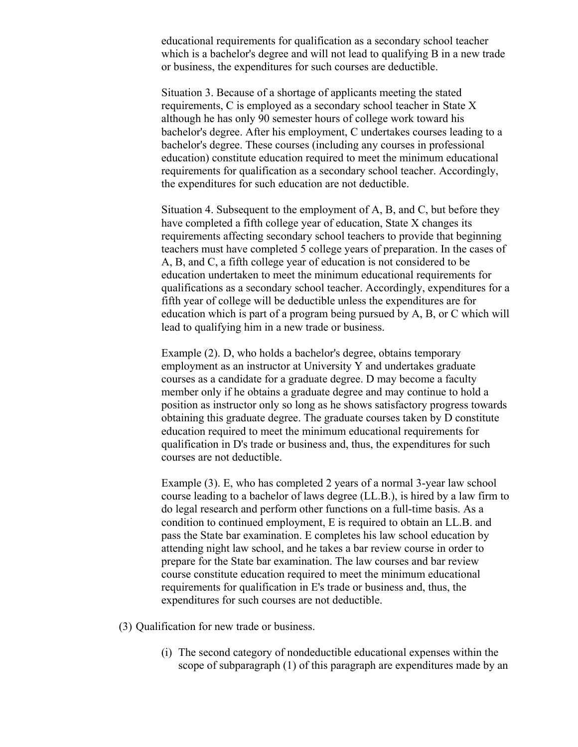educational requirements for qualification as a secondary school teacher which is a bachelor's degree and will not lead to qualifying B in a new trade or business, the expenditures for such courses are deductible.

Situation 3. Because of a shortage of applicants meeting the stated requirements, C is employed as a secondary school teacher in State X although he has only 90 semester hours of college work toward his bachelor's degree. After his employment, C undertakes courses leading to a bachelor's degree. These courses (including any courses in professional education) constitute education required to meet the minimum educational requirements for qualification as a secondary school teacher. Accordingly, the expenditures for such education are not deductible.

Situation 4. Subsequent to the employment of A, B, and C, but before they have completed a fifth college year of education, State X changes its requirements affecting secondary school teachers to provide that beginning teachers must have completed 5 college years of preparation. In the cases of A, B, and C, a fifth college year of education is not considered to be education undertaken to meet the minimum educational requirements for qualifications as a secondary school teacher. Accordingly, expenditures for a fifth year of college will be deductible unless the expenditures are for education which is part of a program being pursued by A, B, or C which will lead to qualifying him in a new trade or business.

Example (2). D, who holds a bachelor's degree, obtains temporary employment as an instructor at University Y and undertakes graduate courses as a candidate for a graduate degree. D may become a faculty member only if he obtains a graduate degree and may continue to hold a position as instructor only so long as he shows satisfactory progress towards obtaining this graduate degree. The graduate courses taken by D constitute education required to meet the minimum educational requirements for qualification in D's trade or business and, thus, the expenditures for such courses are not deductible.

Example (3). E, who has completed 2 years of a normal 3-year law school course leading to a bachelor of laws degree (LL.B.), is hired by a law firm to do legal research and perform other functions on a full-time basis. As a condition to continued employment, E is required to obtain an LL.B. and pass the State bar examination. E completes his law school education by attending night law school, and he takes a bar review course in order to prepare for the State bar examination. The law courses and bar review course constitute education required to meet the minimum educational requirements for qualification in E's trade or business and, thus, the expenditures for such courses are not deductible.

(3) Qualification for new trade or business.

(i) The second category of nondeductible educational expenses within the scope of subparagraph (1) of this paragraph are expenditures made by an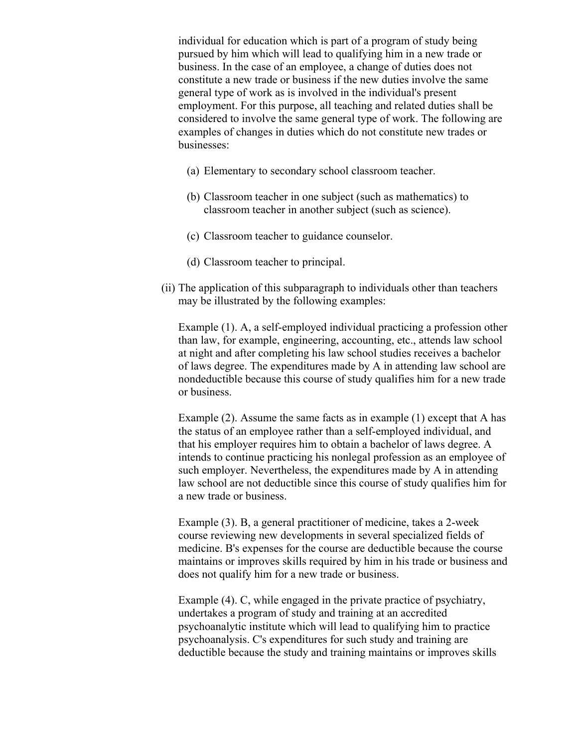individual for education which is part of a program of study being pursued by him which will lead to qualifying him in a new trade or business. In the case of an employee, a change of duties does not constitute a new trade or business if the new duties involve the same general type of work as is involved in the individual's present employment. For this purpose, all teaching and related duties shall be considered to involve the same general type of work. The following are examples of changes in duties which do not constitute new trades or businesses:

- (a) Elementary to secondary school classroom teacher.
- (b) Classroom teacher in one subject (such as mathematics) to classroom teacher in another subject (such as science).
- (c) Classroom teacher to guidance counselor.
- (d) Classroom teacher to principal.
- (ii) The application of this subparagraph to individuals other than teachers may be illustrated by the following examples:

Example (1). A, a self-employed individual practicing a profession other than law, for example, engineering, accounting, etc., attends law school at night and after completing his law school studies receives a bachelor of laws degree. The expenditures made by A in attending law school are nondeductible because this course of study qualifies him for a new trade or business.

Example (2). Assume the same facts as in example (1) except that A has the status of an employee rather than a self-employed individual, and that his employer requires him to obtain a bachelor of laws degree. A intends to continue practicing his nonlegal profession as an employee of such employer. Nevertheless, the expenditures made by A in attending law school are not deductible since this course of study qualifies him for a new trade or business.

Example (3). B, a general practitioner of medicine, takes a 2-week course reviewing new developments in several specialized fields of medicine. B's expenses for the course are deductible because the course maintains or improves skills required by him in his trade or business and does not qualify him for a new trade or business.

Example (4). C, while engaged in the private practice of psychiatry, undertakes a program of study and training at an accredited psychoanalytic institute which will lead to qualifying him to practice psychoanalysis. C's expenditures for such study and training are deductible because the study and training maintains or improves skills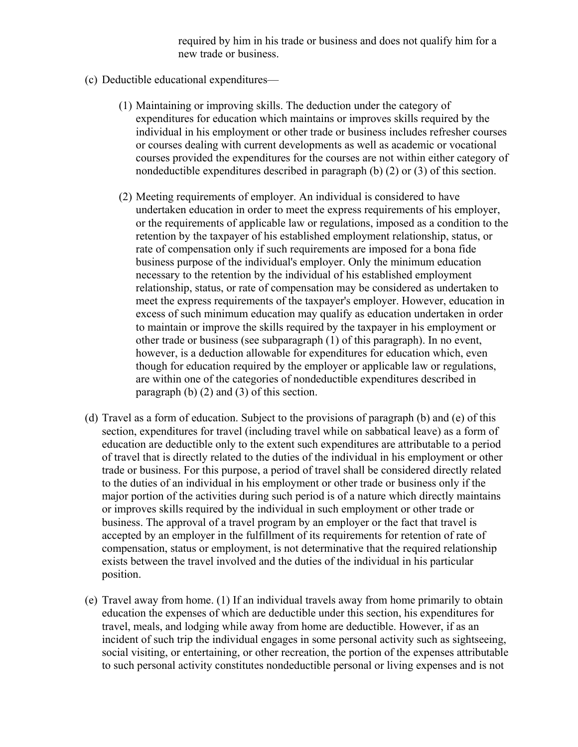required by him in his trade or business and does not qualify him for a new trade or business.

- (c) Deductible educational expenditures—
	- (1) Maintaining or improving skills. The deduction under the category of expenditures for education which maintains or improves skills required by the individual in his employment or other trade or business includes refresher courses or courses dealing with current developments as well as academic or vocational courses provided the expenditures for the courses are not within either category of nondeductible expenditures described in paragraph (b) (2) or (3) of this section.
	- (2) Meeting requirements of employer. An individual is considered to have undertaken education in order to meet the express requirements of his employer, or the requirements of applicable law or regulations, imposed as a condition to the retention by the taxpayer of his established employment relationship, status, or rate of compensation only if such requirements are imposed for a bona fide business purpose of the individual's employer. Only the minimum education necessary to the retention by the individual of his established employment relationship, status, or rate of compensation may be considered as undertaken to meet the express requirements of the taxpayer's employer. However, education in excess of such minimum education may qualify as education undertaken in order to maintain or improve the skills required by the taxpayer in his employment or other trade or business (see subparagraph (1) of this paragraph). In no event, however, is a deduction allowable for expenditures for education which, even though for education required by the employer or applicable law or regulations, are within one of the categories of nondeductible expenditures described in paragraph (b) (2) and (3) of this section.
- (d) Travel as a form of education. Subject to the provisions of paragraph (b) and (e) of this section, expenditures for travel (including travel while on sabbatical leave) as a form of education are deductible only to the extent such expenditures are attributable to a period of travel that is directly related to the duties of the individual in his employment or other trade or business. For this purpose, a period of travel shall be considered directly related to the duties of an individual in his employment or other trade or business only if the major portion of the activities during such period is of a nature which directly maintains or improves skills required by the individual in such employment or other trade or business. The approval of a travel program by an employer or the fact that travel is accepted by an employer in the fulfillment of its requirements for retention of rate of compensation, status or employment, is not determinative that the required relationship exists between the travel involved and the duties of the individual in his particular position.
- (e) Travel away from home. (1) If an individual travels away from home primarily to obtain education the expenses of which are deductible under this section, his expenditures for travel, meals, and lodging while away from home are deductible. However, if as an incident of such trip the individual engages in some personal activity such as sightseeing, social visiting, or entertaining, or other recreation, the portion of the expenses attributable to such personal activity constitutes nondeductible personal or living expenses and is not